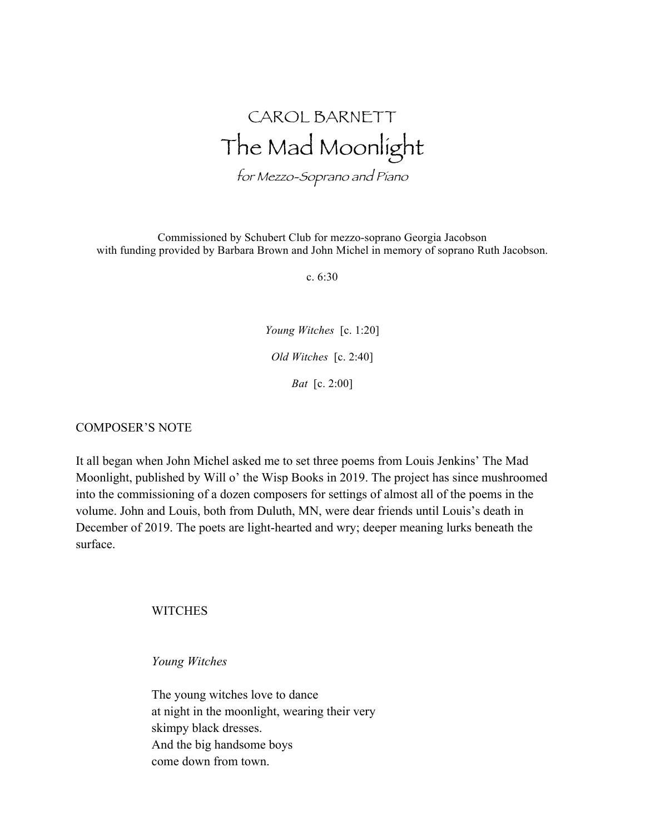## CAROL BARNETT The Mad Moonlight

for Mezzo-Soprano and Piano

Commissioned by Schubert Club for mezzo-soprano Georgia Jacobson with funding provided by Barbara Brown and John Michel in memory of soprano Ruth Jacobson.

c. 6:30

*Young Witches* [c. 1:20] *Old Witches* [c. 2:40] *Bat* [c. 2:00]

## COMPOSER'S NOTE

It all began when John Michel asked me to set three poems from Louis Jenkins' The Mad Moonlight, published by Will o' the Wisp Books in 2019. The project has since mushroomed into the commissioning of a dozen composers for settings of almost all of the poems in the volume. John and Louis, both from Duluth, MN, were dear friends until Louis's death in December of 2019. The poets are light-hearted and wry; deeper meaning lurks beneath the surface.

**WITCHES** 

*Young Witches*

The young witches love to dance at night in the moonlight, wearing their very skimpy black dresses. And the big handsome boys come down from town.